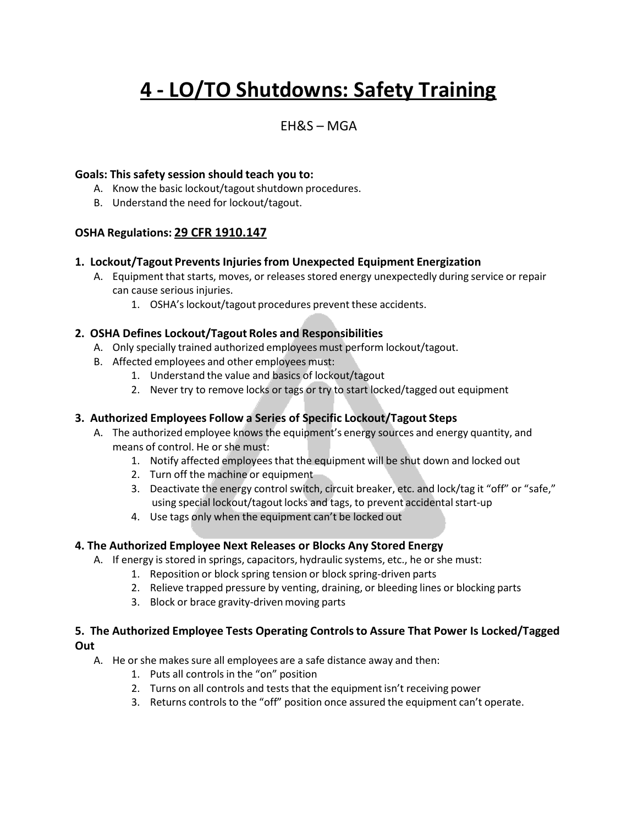# **4 - LO/TO Shutdowns: Safety Training**

### $FHRS - MGA$

#### **Goals: This safety session should teach you to:**

- A. Know the basic lockout/tagout shutdown procedures.
- B. Understand the need for lockout/tagout.

#### **OSHA Regulations: 29 CFR 1910.147**

#### **1. Lockout/Tagout Prevents Injuries from Unexpected Equipment Energization**

- A. Equipment that starts, moves, or releases stored energy unexpectedly during service or repair can cause serious injuries.
	- 1. OSHA's lockout/tagout procedures prevent these accidents.

#### **2. OSHA Defines Lockout/Tagout Roles and Responsibilities**

- A. Only specially trained authorized employees must perform lockout/tagout.
- B. Affected employees and other employees must:
	- 1. Understand the value and basics of lockout/tagout
	- 2. Never try to remove locks or tags or try to start locked/tagged out equipment

#### **3. Authorized Employees Follow a Series of Specific Lockout/Tagout Steps**

- A. The authorized employee knows the equipment's energy sources and energy quantity, and means of control. He or she must:
	- 1. Notify affected employeesthat the equipment will be shut down and locked out
	- 2. Turn off the machine or equipment
	- 3. Deactivate the energy controlswitch, circuit breaker, etc. and lock/tag it "off" or "safe," using special lockout/tagout locks and tags, to prevent accidental start-up
	- 4. Use tags only when the equipment can't be locked out

#### **4. The Authorized Employee Next Releases or Blocks Any Stored Energy**

- A. If energy is stored in springs, capacitors, hydraulic systems, etc., he or she must:
	- 1. Reposition or block spring tension or block spring-driven parts
	- 2. Relieve trapped pressure by venting, draining, or bleeding lines or blocking parts
	- 3. Block or brace gravity-driven moving parts

#### **5. The Authorized Employee Tests Operating Controlsto Assure That Power Is Locked/Tagged Out**

- A. He or she makes sure all employees are a safe distance away and then:
	- 1. Puts all controls in the "on" position
	- 2. Turns on all controls and tests that the equipment isn't receiving power
	- 3. Returns controls to the "off" position once assured the equipment can't operate.